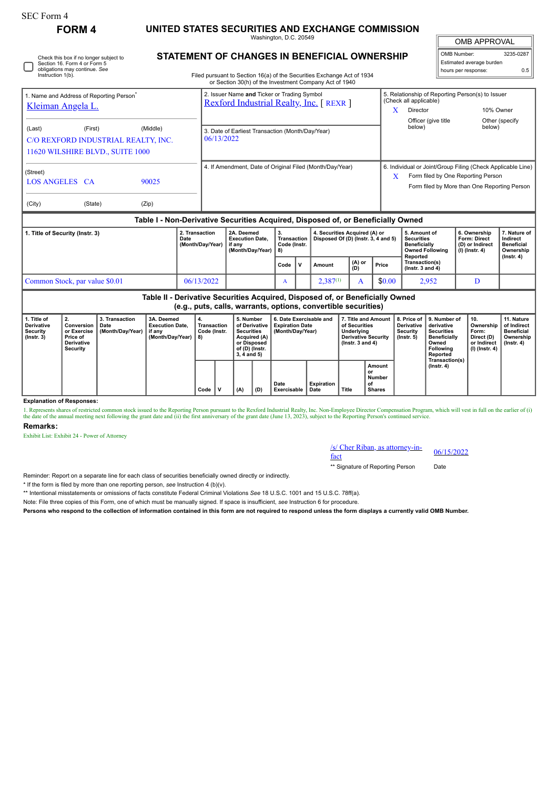| <b>SEC Form 4</b>                                                                                                            | <b>FORM4</b>                                                          |                                            | UNITED STATES SECURITIES AND EXCHANGE COMMISSION                                 |                                    |                                                          |                                                                                                                                                                                  |  |                                                                                                                     |              |                                                                       |               |  |                                                                                    |                                                                                                                                                        |                                                                                                                     |                                                                                                                            |                                                                |                                                                          |                                                                           |
|------------------------------------------------------------------------------------------------------------------------------|-----------------------------------------------------------------------|--------------------------------------------|----------------------------------------------------------------------------------|------------------------------------|----------------------------------------------------------|----------------------------------------------------------------------------------------------------------------------------------------------------------------------------------|--|---------------------------------------------------------------------------------------------------------------------|--------------|-----------------------------------------------------------------------|---------------|--|------------------------------------------------------------------------------------|--------------------------------------------------------------------------------------------------------------------------------------------------------|---------------------------------------------------------------------------------------------------------------------|----------------------------------------------------------------------------------------------------------------------------|----------------------------------------------------------------|--------------------------------------------------------------------------|---------------------------------------------------------------------------|
|                                                                                                                              |                                                                       | Washington, D.C. 20549                     |                                                                                  |                                    |                                                          |                                                                                                                                                                                  |  |                                                                                                                     |              |                                                                       |               |  |                                                                                    |                                                                                                                                                        |                                                                                                                     | <b>OMB APPROVAL</b>                                                                                                        |                                                                |                                                                          |                                                                           |
| Check this box if no longer subject to<br>Section 16, Form 4 or Form 5<br>obligations may continue. See<br>Instruction 1(b). |                                                                       |                                            |                                                                                  |                                    |                                                          | STATEMENT OF CHANGES IN BENEFICIAL OWNERSHIP<br>Filed pursuant to Section 16(a) of the Securities Exchange Act of 1934<br>or Section 30(h) of the Investment Company Act of 1940 |  |                                                                                                                     |              |                                                                       |               |  |                                                                                    |                                                                                                                                                        |                                                                                                                     |                                                                                                                            | OMB Number:<br>Estimated average burden<br>hours per response: |                                                                          | 3235-0287<br>0.5                                                          |
| 1. Name and Address of Reporting Person <sup>1</sup><br>Kleiman Angela L.                                                    |                                                                       |                                            |                                                                                  |                                    |                                                          | 2. Issuer Name and Ticker or Trading Symbol<br>Rexford Industrial Realty, Inc. [REXR]                                                                                            |  |                                                                                                                     |              |                                                                       |               |  |                                                                                    |                                                                                                                                                        | 5. Relationship of Reporting Person(s) to Issuer<br>(Check all applicable)<br>$\mathbf{X}$<br>10% Owner<br>Director |                                                                                                                            |                                                                |                                                                          |                                                                           |
| (First)<br>(Middle)<br>(Last)<br>C/O REXFORD INDUSTRIAL REALTY, INC.<br>11620 WILSHIRE BLVD., SUITE 1000                     |                                                                       |                                            |                                                                                  |                                    |                                                          | 3. Date of Earliest Transaction (Month/Day/Year)<br>06/13/2022                                                                                                                   |  |                                                                                                                     |              |                                                                       |               |  |                                                                                    |                                                                                                                                                        | below)                                                                                                              | Officer (give title                                                                                                        |                                                                | below)                                                                   | Other (specify                                                            |
| (Street)<br><b>LOS ANGELES CA</b><br>90025                                                                                   |                                                                       |                                            |                                                                                  |                                    | 4. If Amendment, Date of Original Filed (Month/Day/Year) |                                                                                                                                                                                  |  |                                                                                                                     |              |                                                                       |               |  |                                                                                    | 6. Individual or Joint/Group Filing (Check Applicable Line)<br>Form filed by One Reporting Person<br>X<br>Form filed by More than One Reporting Person |                                                                                                                     |                                                                                                                            |                                                                |                                                                          |                                                                           |
| (Zip)<br>(City)<br>(State)                                                                                                   |                                                                       |                                            |                                                                                  |                                    |                                                          |                                                                                                                                                                                  |  |                                                                                                                     |              |                                                                       |               |  |                                                                                    |                                                                                                                                                        |                                                                                                                     |                                                                                                                            |                                                                |                                                                          |                                                                           |
|                                                                                                                              |                                                                       |                                            | Table I - Non-Derivative Securities Acquired, Disposed of, or Beneficially Owned |                                    |                                                          |                                                                                                                                                                                  |  |                                                                                                                     |              |                                                                       |               |  |                                                                                    |                                                                                                                                                        |                                                                                                                     |                                                                                                                            |                                                                |                                                                          |                                                                           |
| 1. Title of Security (Instr. 3)<br>Date                                                                                      |                                                                       |                                            |                                                                                  | 2. Transaction<br>(Month/Day/Year) |                                                          | 2A. Deemed<br><b>Execution Date.</b><br>if anv<br>(Month/Day/Year)                                                                                                               |  | 3.<br><b>Transaction</b><br>Code (Instr.<br>8)                                                                      |              | 4. Securities Acquired (A) or<br>Disposed Of (D) (Instr. 3, 4 and 5)  |               |  | 5. Amount of<br><b>Securities</b><br><b>Beneficially</b><br><b>Owned Following</b> |                                                                                                                                                        |                                                                                                                     | 6. Ownership<br>Form: Direct<br>(D) or Indirect<br>(I) (Instr. 4)                                                          | 7. Nature of<br>Indirect<br><b>Beneficial</b><br>Ownership     |                                                                          |                                                                           |
|                                                                                                                              |                                                                       |                                            |                                                                                  |                                    |                                                          |                                                                                                                                                                                  |  |                                                                                                                     | Code         | V                                                                     | Amount        |  | $(A)$ or<br>$(B)$                                                                  | Price                                                                                                                                                  |                                                                                                                     | Reported<br>Transaction(s)<br>( $lnstr. 3$ and 4)                                                                          |                                                                |                                                                          | $($ lnstr. 4 $)$                                                          |
| Common Stock, par value \$0.01<br>06/13/2022                                                                                 |                                                                       |                                            |                                                                                  |                                    |                                                          |                                                                                                                                                                                  |  |                                                                                                                     | $\mathbf{A}$ |                                                                       | $2,387^{(1)}$ |  | A                                                                                  | \$0.00                                                                                                                                                 | 2,952                                                                                                               |                                                                                                                            |                                                                | D                                                                        |                                                                           |
|                                                                                                                              |                                                                       |                                            | Table II - Derivative Securities Acquired, Disposed of, or Beneficially Owned    |                                    |                                                          |                                                                                                                                                                                  |  | (e.g., puts, calls, warrants, options, convertible securities)                                                      |              |                                                                       |               |  |                                                                                    |                                                                                                                                                        |                                                                                                                     |                                                                                                                            |                                                                |                                                                          |                                                                           |
| 1. Title of<br><b>Derivative</b><br><b>Security</b><br>$($ Instr. 3 $)$                                                      | 2.<br>Conversion<br>or Exercise<br>Price of<br>Derivative<br>Security | 3. Transaction<br>Date<br>(Month/Day/Year) | 3A. Deemed<br><b>Execution Date.</b><br>if anv<br>(Month/Day/Year)               |                                    | 8)                                                       | <b>Transaction</b><br>Code (Instr.                                                                                                                                               |  | 5. Number<br>of Derivative<br><b>Securities</b><br>Acquired (A)<br>or Disposed<br>of (D) (Instr.<br>$3, 4$ and $5)$ |              | 6. Date Exercisable and<br><b>Expiration Date</b><br>(Month/Day/Year) |               |  | of Securities<br>Underlving<br>( $lnstr. 3 and 4$ )                                | 7. Title and Amount<br><b>Derivative Security</b>                                                                                                      | 8. Price of<br><b>Derivative</b><br><b>Security</b><br>$($ lnstr. 5 $)$                                             | 9. Number of<br>derivative<br><b>Securities</b><br><b>Beneficially</b><br>Owned<br>Following<br>Reported<br>Transaction(s) |                                                                | 10.<br>Ownership<br>Form:<br>Direct (D)<br>or Indirect<br>(I) (Instr. 4) | 11. Nature<br>of Indirect<br><b>Beneficial</b><br>Ownership<br>(Instr. 4) |
|                                                                                                                              |                                                                       |                                            |                                                                                  |                                    |                                                          |                                                                                                                                                                                  |  |                                                                                                                     |              |                                                                       |               |  |                                                                                    | Amount                                                                                                                                                 |                                                                                                                     | $($ Instr. 4 $)$                                                                                                           |                                                                |                                                                          |                                                                           |

**Explanation of Responses:**

1. Represents shares of restricted common stock issued to the Reporting Person pursuant to the Rexford Industrial Realty, Inc. Non-Employee Director Compensation Program, which will vest in full on the earlier of (i) the f

**Date Exercisable**

**Expiration Date Title**

**Remarks:**

Exhibit List: Exhibit 24 - Power of Attorney

 $\frac{f(s)}{\sqrt{5}}$  Cher Riban, as attorney-in-<br>fact

**Amount or Number of Shares**

\*\* Signature of Reporting Person Date

Reminder: Report on a separate line for each class of securities beneficially owned directly or indirectly.

\* If the form is filed by more than one reporting person, *see* Instruction 4 (b)(v).

\*\* Intentional misstatements or omissions of facts constitute Federal Criminal Violations *See* 18 U.S.C. 1001 and 15 U.S.C. 78ff(a).

Note: File three copies of this Form, one of which must be manually signed. If space is insufficient, *see* Instruction 6 for procedure.

**Persons who respond to the collection of information contained in this form are not required to respond unless the form displays a currently valid OMB Number.**

 $Code \n\begin{bmatrix} V \\ W \end{bmatrix}$  (A)  $| (D) \n\begin{bmatrix} A \end{bmatrix}$